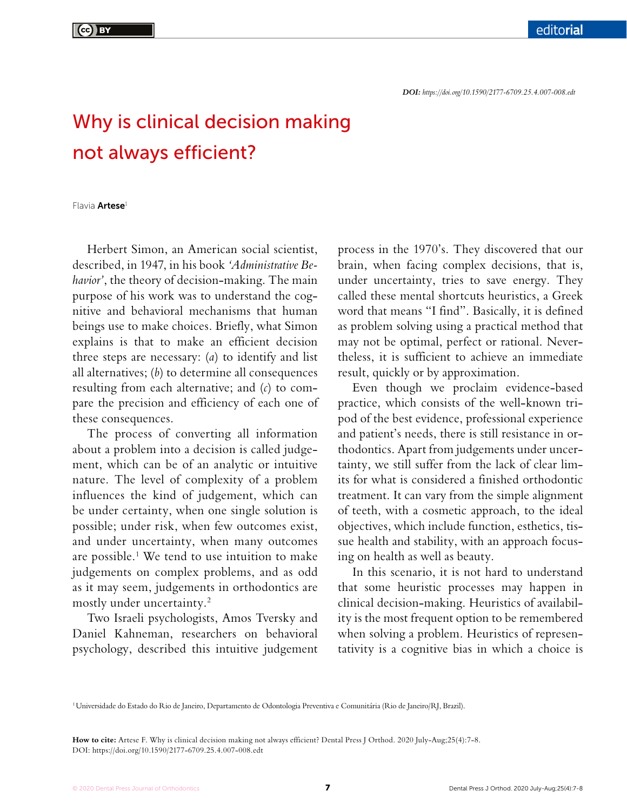## Why is clinical decision making not always efficient?

Flavia **Artese**<sup>1</sup>

Herbert Simon, an American social scientist, described, in 1947, in his book *'Administrative Behavior'*, the theory of decision-making. The main purpose of his work was to understand the cognitive and behavioral mechanisms that human beings use to make choices. Briefly, what Simon explains is that to make an efficient decision three steps are necessary: (*a*) to identify and list all alternatives; (*b*) to determine all consequences resulting from each alternative; and (*c*) to compare the precision and efficiency of each one of these consequences.

The process of converting all information about a problem into a decision is called judgement, which can be of an analytic or intuitive nature. The level of complexity of a problem influences the kind of judgement, which can be under certainty, when one single solution is possible; under risk, when few outcomes exist, and under uncertainty, when many outcomes are possible.<sup>1</sup> We tend to use intuition to make judgements on complex problems, and as odd as it may seem, judgements in orthodontics are mostly under uncertainty.2

Two Israeli psychologists, Amos Tversky and Daniel Kahneman, researchers on behavioral psychology, described this intuitive judgement process in the 1970's. They discovered that our brain, when facing complex decisions, that is, under uncertainty, tries to save energy. They called these mental shortcuts heuristics, a Greek word that means "I find". Basically, it is defined as problem solving using a practical method that may not be optimal, perfect or rational. Nevertheless, it is sufficient to achieve an immediate result, quickly or by approximation.

Even though we proclaim evidence-based practice, which consists of the well-known tripod of the best evidence, professional experience and patient's needs, there is still resistance in orthodontics. Apart from judgements under uncertainty, we still suffer from the lack of clear limits for what is considered a finished orthodontic treatment. It can vary from the simple alignment of teeth, with a cosmetic approach, to the ideal objectives, which include function, esthetics, tissue health and stability, with an approach focusing on health as well as beauty.

In this scenario, it is not hard to understand that some heuristic processes may happen in clinical decision-making. Heuristics of availability is the most frequent option to be remembered when solving a problem. Heuristics of representativity is a cognitive bias in which a choice is

1Universidade do Estado do Rio de Janeiro, Departamento de Odontologia Preventiva e Comunitária (Rio de Janeiro/RJ, Brazil).

**How to cite:** Artese F. Why is clinical decision making not always efficient? Dental Press J Orthod. 2020 July-Aug;25(4):7-8. DOI: https://doi.org/10.1590/2177-6709.25.4.007-008.edt